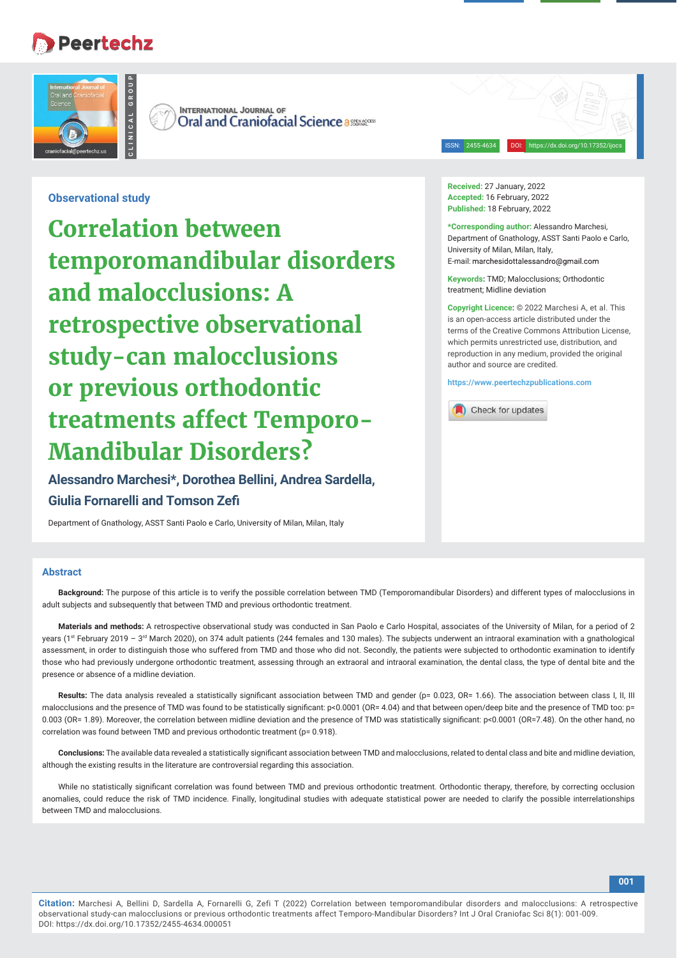# Peertechz



ISSN: 2455-4634 DOI: https://dx.doi.org/10.17352/ijocs

**Observational study**

**Examplementary Conservational study<br>
COTTELAtion betty temporaron of Dresponsition<br>
<b>COTTELATION DETANDEM CONSECTIVE OB**<br> **Study – Can malo colusion of Dresponsition Conservation Conservation Conservation Conservation Con Correlation between temporomandibular disorders and malocclusions: A retrospective observational study-can malocclusions or previous orthodontic treatments affect Temporo-Mandibular Disorders?**

**Alessandro Marchesi\*, Dorothea Bellini, Andrea Sardella, Giulia Fornarelli and Tomson Zefi**

Department of Gnathology, ASST Santi Paolo e Carlo, University of Milan, Milan, Italy

#### **Abstract**

**Background:** The purpose of this article is to verify the possible correlation between TMD (Temporomandibular Disorders) and different types of malocclusions in adult subjects and subsequently that between TMD and previous orthodontic treatment.

**Materials and methods:** A retrospective observational study was conducted in San Paolo e Carlo Hospital, associates of the University of Milan, for a period of 2 years (1st February 2019 - 3<sup>rd</sup> March 2020), on 374 adult patients (244 females and 130 males). The subjects underwent an intraoral examination with a gnathological assessment, in order to distinguish those who suffered from TMD and those who did not. Secondly, the patients were subjected to orthodontic examination to identify those who had previously undergone orthodontic treatment, assessing through an extraoral and intraoral examination, the dental class, the type of dental bite and the presence or absence of a midline deviation.

Results: The data analysis revealed a statistically significant association between TMD and gender (p= 0.023, OR= 1.66). The association between class I, II, III malocclusions and the presence of TMD was found to be statistically significant: p<0.0001 (OR= 4.04) and that between open/deep bite and the presence of TMD too: p= 0.003 (OR= 1.89). Moreover, the correlation between midline deviation and the presence of TMD was statistically significant: p<0.0001 (OR=7.48). On the other hand, no correlation was found between TMD and previous orthodontic treatment (p= 0.918).

Conclusions: The available data revealed a statistically significant association between TMD and malocclusions, related to dental class and bite and midline deviation, although the existing results in the literature are controversial regarding this association.

While no statistically significant correlation was found between TMD and previous orthodontic treatment. Orthodontic therapy, therefore, by correcting occlusion anomalies, could reduce the risk of TMD incidence. Finally, longitudinal studies with adequate statistical power are needed to clarify the possible interrelationships between TMD and malocclusions.

**Received:** 27 January, 2022 **Accepted:** 16 February, 2022 **Published:** 18 February, 2022

**\*Corresponding author:** Alessandro Marchesi, Department of Gnathology, ASST Santi Paolo e Carlo, University of Milan, Milan, Italy, E-mail: marchesidottalessandro@gmail.com

**Keywords:** TMD; Malocclusions; Orthodontic treatment; Midline deviation

**Copyright Licence:** © 2022 Marchesi A, et al. This is an open-access article distributed under the terms of the Creative Commons Attribution License, which permits unrestricted use, distribution, and reproduction in any medium, provided the original author and source are credited.

**https://www.peertechzpublications.com**

**A** Check for updates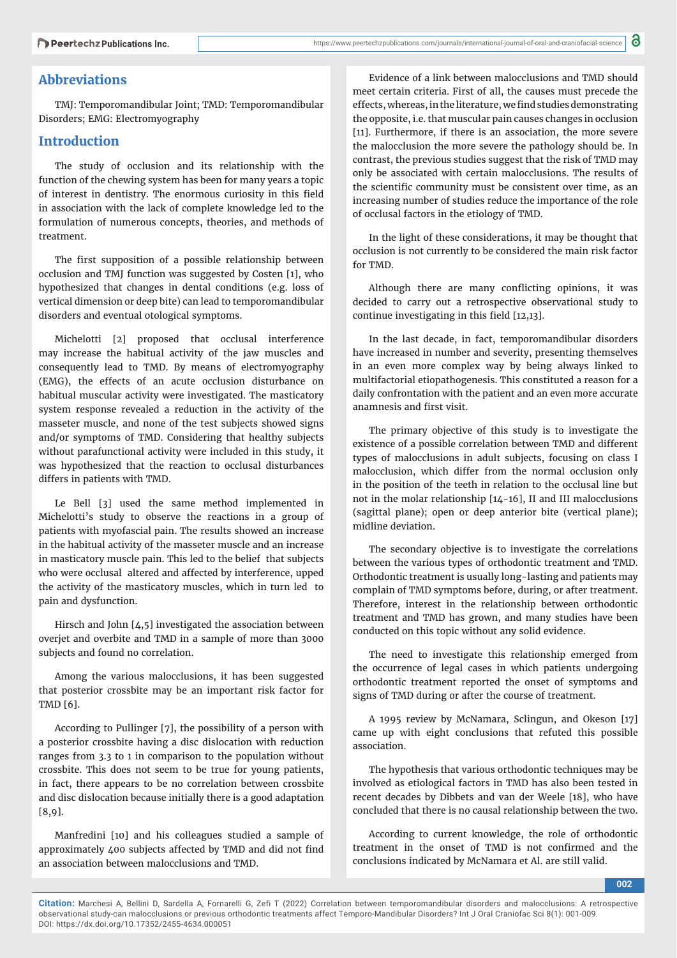# **Abbreviations**

TMJ: Temporomandibular Joint; TMD: Temporomandibular Disorders; EMG: Electromyography

# **Introduction**

The study of occlusion and its relationship with the function of the chewing system has been for many years a topic of interest in dentistry. The enormous curiosity in this field in association with the lack of complete knowledge led to the formulation of numerous concepts, theories, and methods of treatment.

The first supposition of a possible relationship between occlusion and TMJ function was suggested by Costen [1], who hypothesized that changes in dental conditions (e.g. loss of vertical dimension or deep bite) can lead to temporomandibular disorders and eventual otological symptoms.

Michelotti [2] proposed that occlusal interference may increase the habitual activity of the jaw muscles and consequently lead to TMD. By means of electromyography (EMG), the effects of an acute occlusion disturbance on habitual muscular activity were investigated. The masticatory system response revealed a reduction in the activity of the masseter muscle, and none of the test subjects showed signs and/or symptoms of TMD. Considering that healthy subjects without parafunctional activity were included in this study, it was hypothesized that the reaction to occlusal disturbances differs in patients with TMD.

Le Bell [3] used the same method implemented in Michelotti's study to observe the reactions in a group of patients with myofascial pain. The results showed an increase in the habitual activity of the masseter muscle and an increase in masticatory muscle pain. This led to the belief that subjects who were occlusal altered and affected by interference, upped the activity of the masticatory muscles, which in turn led to pain and dysfunction.

Hirsch and John [4,5] investigated the association between overjet and overbite and TMD in a sample of more than 3000 subjects and found no correlation.

Among the various malocclusions, it has been suggested that posterior crossbite may be an important risk factor for TMD [6].

According to Pullinger [7], the possibility of a person with a posterior crossbite having a disc dislocation with reduction ranges from 3.3 to 1 in comparison to the population without crossbite. This does not seem to be true for young patients, in fact, there appears to be no correlation between crossbite and disc dislocation because initially there is a good adaptation [8,9].

Manfredini [10] and his colleagues studied a sample of approximately 400 subjects affected by TMD and did not find an association between malocclusions and TMD.

Evidence of a link between malocclusions and TMD should meet certain criteria. First of all, the causes must precede the effects, whereas, in the literature, we find studies demonstrating the opposite, i.e. that muscular pain causes changes in occlusion [11]. Furthermore, if there is an association, the more severe the malocclusion the more severe the pathology should be. In contrast, the previous studies suggest that the risk of TMD may only be associated with certain malocclusions. The results of the scientific community must be consistent over time, as an increasing number of studies reduce the importance of the role of occlusal factors in the etiology of TMD.

In the light of these considerations, it may be thought that occlusion is not currently to be considered the main risk factor for TMD.

Although there are many conflicting opinions, it was decided to carry out a retrospective observational study to continue investigating in this field [12,13].

In the last decade, in fact, temporomandibular disorders have increased in number and severity, presenting themselves in an even more complex way by being always linked to multifactorial etiopathogenesis. This constituted a reason for a daily confrontation with the patient and an even more accurate anamnesis and first visit.

The primary objective of this study is to investigate the existence of a possible correlation between TMD and different types of malocclusions in adult subjects, focusing on class I malocclusion, which differ from the normal occlusion only in the position of the teeth in relation to the occlusal line but not in the molar relationship [14-16], II and III malocclusions (sagittal plane); open or deep anterior bite (vertical plane); midline deviation.

The secondary objective is to investigate the correlations between the various types of orthodontic treatment and TMD. Orthodontic treatment is usually long-lasting and patients may complain of TMD symptoms before, during, or after treatment. Therefore, interest in the relationship between orthodontic treatment and TMD has grown, and many studies have been conducted on this topic without any solid evidence.

The need to investigate this relationship emerged from the occurrence of legal cases in which patients undergoing orthodontic treatment reported the onset of symptoms and signs of TMD during or after the course of treatment.

A 1995 review by McNamara, Sclingun, and Okeson [17] came up with eight conclusions that refuted this possible association.

The hypothesis that various orthodontic techniques may be involved as etiological factors in TMD has also been tested in recent decades by Dibbets and van der Weele [18], who have concluded that there is no causal relationship between the two.

According to current knowledge, the role of orthodontic treatment in the onset of TMD is not confirmed and the conclusions indicated by McNamara et Al. are still valid.

**002**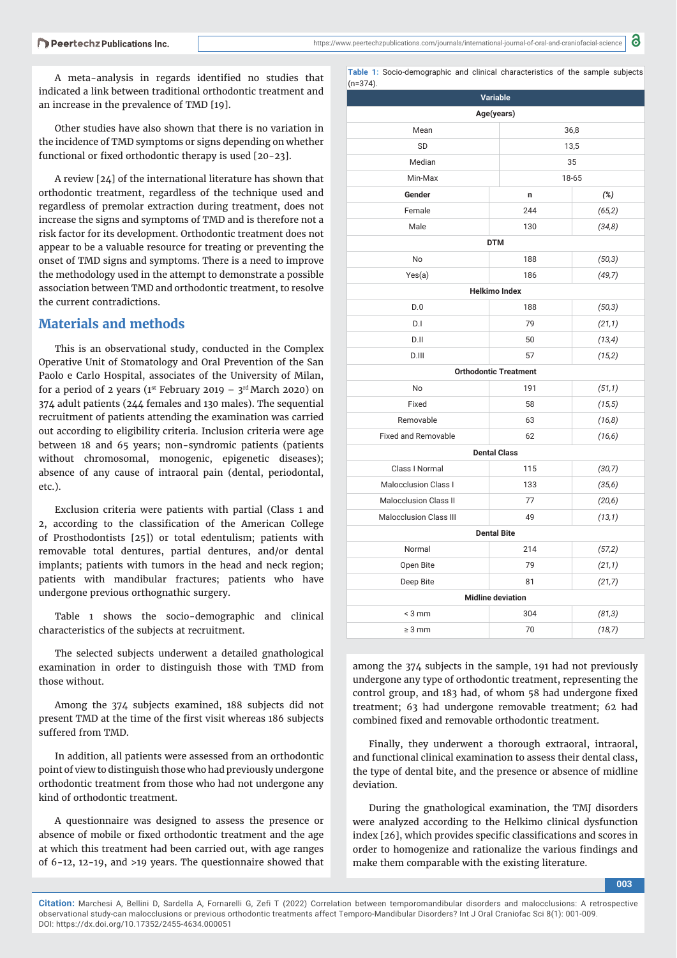A meta-analysis in regards identified no studies that indicated a link between traditional orthodontic treatment and an increase in the prevalence of TMD [19].

Other studies have also shown that there is no variation in the incidence of TMD symptoms or signs depending on whether functional or fixed orthodontic therapy is used [20-23].

A review [24] of the international literature has shown that orthodontic treatment, regardless of the technique used and regardless of premolar extraction during treatment, does not increase the signs and symptoms of TMD and is therefore not a risk factor for its development. Orthodontic treatment does not appear to be a valuable resource for treating or preventing the onset of TMD signs and symptoms. There is a need to improve the methodology used in the attempt to demonstrate a possible association between TMD and orthodontic treatment, to resolve the current contradictions.

# **Materials and methods**

This is an observational study, conducted in the Complex Operative Unit of Stomatology and Oral Prevention of the San Paolo e Carlo Hospital, associates of the University of Milan, for a period of 2 years (1st February 2019 –  $3^{\text{rd}}$  March 2020) on 374 adult patients (244 females and 130 males). The sequential recruitment of patients attending the examination was carried out according to eligibility criteria. Inclusion criteria were age between 18 and 65 years; non-syndromic patients (patients without chromosomal, monogenic, epigenetic diseases); absence of any cause of intraoral pain (dental, periodontal, etc.).

Exclusion criteria were patients with partial (Class 1 and 2, according to the classification of the American College of Prosthodontists [25]) or total edentulism; patients with removable total dentures, partial dentures, and/or dental implants; patients with tumors in the head and neck region; patients with mandibular fractures; patients who have undergone previous orthognathic surgery.

Table 1 shows the socio-demographic and clinical characteristics of the subjects at recruitment.

The selected subjects underwent a detailed gnathological examination in order to distinguish those with TMD from those without.

Among the 374 subjects examined, 188 subjects did not present TMD at the time of the first visit whereas 186 subjects suffered from TMD.

In addition, all patients were assessed from an orthodontic point of view to distinguish those who had previously undergone orthodontic treatment from those who had not undergone any kind of orthodontic treatment.

A questionnaire was designed to assess the presence or absence of mobile or fixed orthodontic treatment and the age at which this treatment had been carried out, with age ranges of 6-12, 12-19, and >19 years. The questionnaire showed that

**Table 1:** Socio-demographic and clinical characteristics of the sample subjects  $(n=374)$ 

| Variable                      |                              |         |  |  |  |  |  |
|-------------------------------|------------------------------|---------|--|--|--|--|--|
| Age(years)                    |                              |         |  |  |  |  |  |
| Mean                          |                              | 36,8    |  |  |  |  |  |
| <b>SD</b>                     |                              | 13,5    |  |  |  |  |  |
| Median                        |                              | 35      |  |  |  |  |  |
| Min-Max                       |                              | 18-65   |  |  |  |  |  |
| Gender                        | n                            | (%)     |  |  |  |  |  |
| Female                        | 244                          | (65, 2) |  |  |  |  |  |
| Male                          | 130                          | (34,8)  |  |  |  |  |  |
|                               | <b>DTM</b>                   |         |  |  |  |  |  |
| No                            | 188                          | (50, 3) |  |  |  |  |  |
| Yes(a)                        | 186                          | (49,7)  |  |  |  |  |  |
|                               | <b>Helkimo Index</b>         |         |  |  |  |  |  |
| D.0                           | 188                          | (50,3)  |  |  |  |  |  |
| D.I                           | 79                           | (21,1)  |  |  |  |  |  |
| D.II                          | 50                           | (13, 4) |  |  |  |  |  |
| D.HI                          | 57                           | (15,2)  |  |  |  |  |  |
|                               | <b>Orthodontic Treatment</b> |         |  |  |  |  |  |
| No                            | 191                          | (51,1)  |  |  |  |  |  |
| Fixed                         | 58                           | (15, 5) |  |  |  |  |  |
| Removable                     | 63                           | (16, 8) |  |  |  |  |  |
| <b>Fixed and Removable</b>    | 62                           | (16, 6) |  |  |  |  |  |
|                               | <b>Dental Class</b>          |         |  |  |  |  |  |
| Class I Normal                | 115                          | (30,7)  |  |  |  |  |  |
| <b>Malocclusion Class I</b>   | 133                          | (35, 6) |  |  |  |  |  |
| <b>Malocclusion Class II</b>  | 77                           | (20,6)  |  |  |  |  |  |
| <b>Malocclusion Class III</b> | 49                           | (13,1)  |  |  |  |  |  |
| <b>Dental Bite</b>            |                              |         |  |  |  |  |  |
| Normal                        | 214                          | (57,2)  |  |  |  |  |  |
| Open Bite                     | 79                           | (21,1)  |  |  |  |  |  |
| Deep Bite                     | 81                           | (21,7)  |  |  |  |  |  |
|                               | <b>Midline deviation</b>     |         |  |  |  |  |  |
| $<$ 3 mm                      | 304                          | (81,3)  |  |  |  |  |  |
| $\geq 3$ mm                   | 70                           | (18,7)  |  |  |  |  |  |

among the 374 subjects in the sample, 191 had not previously undergone any type of orthodontic treatment, representing the control group, and 183 had, of whom 58 had undergone fixed treatment; 63 had undergone removable treatment; 62 had combined fixed and removable orthodontic treatment.

Finally, they underwent a thorough extraoral, intraoral, and functional clinical examination to assess their dental class, the type of dental bite, and the presence or absence of midline deviation.

During the gnathological examination, the TMJ disorders were analyzed according to the Helkimo clinical dysfunction index [26], which provides specific classifications and scores in order to homogenize and rationalize the various findings and make them comparable with the existing literature.

**003**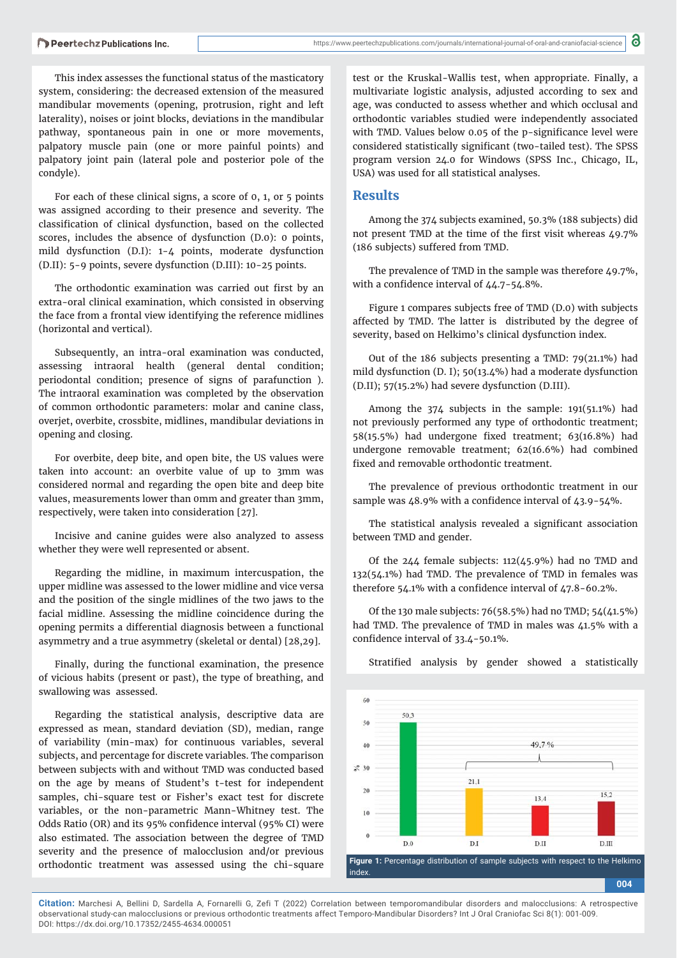This index assesses the functional status of the masticatory system, considering: the decreased extension of the measured mandibular movements (opening, protrusion, right and left laterality), noises or joint blocks, deviations in the mandibular pathway, spontaneous pain in one or more movements, palpatory muscle pain (one or more painful points) and palpatory joint pain (lateral pole and posterior pole of the condyle).

For each of these clinical signs, a score of 0, 1, or 5 points was assigned according to their presence and severity. The classification of clinical dysfunction, based on the collected scores, includes the absence of dysfunction (D.0): 0 points, mild dysfunction (D.I): 1-4 points, moderate dysfunction (D.II): 5-9 points, severe dysfunction (D.III): 10-25 points.

The orthodontic examination was carried out first by an extra-oral clinical examination, which consisted in observing the face from a frontal view identifying the reference midlines (horizontal and vertical).

Subsequently, an intra-oral examination was conducted, assessing intraoral health (general dental condition; periodontal condition; presence of signs of parafunction ). The intraoral examination was completed by the observation of common orthodontic parameters: molar and canine class, overjet, overbite, crossbite, midlines, mandibular deviations in opening and closing.

For overbite, deep bite, and open bite, the US values were taken into account: an overbite value of up to 3mm was considered normal and regarding the open bite and deep bite values, measurements lower than 0mm and greater than 3mm, respectively, were taken into consideration [27].

Incisive and canine guides were also analyzed to assess whether they were well represented or absent.

Regarding the midline, in maximum intercuspation, the upper midline was assessed to the lower midline and vice versa and the position of the single midlines of the two jaws to the facial midline. Assessing the midline coincidence during the opening permits a differential diagnosis between a functional asymmetry and a true asymmetry (skeletal or dental) [28,29].

Finally, during the functional examination, the presence of vicious habits (present or past), the type of breathing, and swallowing was assessed.

Regarding the statistical analysis, descriptive data are expressed as mean, standard deviation (SD), median, range of variability (min-max) for continuous variables, several subjects, and percentage for discrete variables. The comparison between subjects with and without TMD was conducted based on the age by means of Student's t-test for independent samples, chi-square test or Fisher's exact test for discrete variables, or the non-parametric Mann-Whitney test. The Odds Ratio (OR) and its 95% confidence interval (95% CI) were also estimated. The association between the degree of TMD severity and the presence of malocclusion and/or previous orthodontic treatment was assessed using the chi-square

test or the Kruskal-Wallis test, when appropriate. Finally, a multivariate logistic analysis, adjusted according to sex and age, was conducted to assess whether and which occlusal and orthodontic variables studied were independently associated with TMD. Values below 0.05 of the p-significance level were considered statistically significant (two-tailed test). The SPSS program version 24.0 for Windows (SPSS Inc., Chicago, IL, USA) was used for all statistical analyses.

### **Results**

Among the 374 subjects examined, 50.3% (188 subjects) did not present TMD at the time of the first visit whereas  $49.7\%$ (186 subjects) suffered from TMD.

The prevalence of TMD in the sample was therefore  $\text{\textsterling}9.7\%$ . with a confidence interval of  $\text{\it \Delta} \text{\it \Delta}.7$ -5 $\text{\it \Delta}.8\%$ .

Figure 1 compares subjects free of TMD (D.0) with subjects affected by TMD. The latter is distributed by the degree of severity, based on Helkimo's clinical dysfunction index.

Out of the 186 subjects presenting a TMD: 79(21.1%) had mild dysfunction (D. I); 50(13.4%) had a moderate dysfunction (D.II); 57(15.2%) had severe dysfunction (D.III).

Among the 374 subjects in the sample: 191(51.1%) had not previously performed any type of orthodontic treatment; 58(15.5%) had undergone fixed treatment;  $63(16.8\%)$  had undergone removable treatment; 62(16.6%) had combined fixed and removable orthodontic treatment.

The prevalence of previous orthodontic treatment in our sample was 48.9% with a confidence interval of 43.9-54%.

The statistical analysis revealed a significant association between TMD and gender.

Of the 244 female subjects: 112(45.9%) had no TMD and 132(54.1%) had TMD. The prevalence of TMD in females was therefore 54.1% with a confidence interval of  $\text{\textsterling}7.8-60.2\%$ .

Of the 130 male subjects: 76(58.5%) had no TMD; 54(41.5%) had TMD. The prevalence of TMD in males was 41.5% with a confidence interval of 33.4-50.1%.



Stratified analysis by gender showed a statistically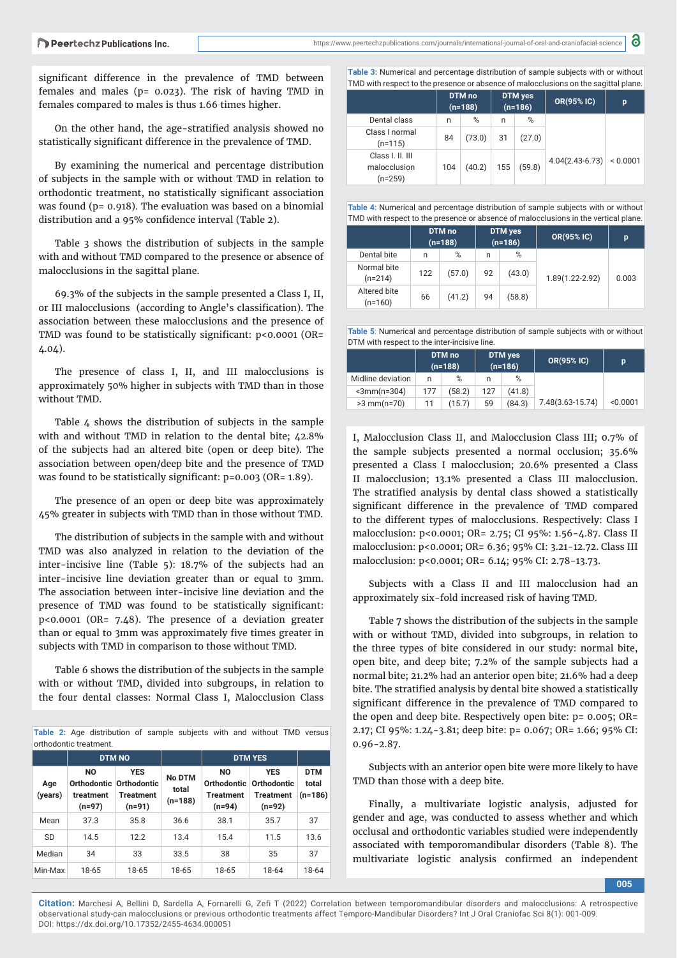a https://www.peertechzpublications.com/journals/international-journal-of-oral-and-craniofacial-science

significant difference in the prevalence of TMD between females and males (p= 0.023). The risk of having TMD in females compared to males is thus 1.66 times higher.

On the other hand, the age-stratified analysis showed no statistically significant difference in the prevalence of TMD.

By examining the numerical and percentage distribution of subjects in the sample with or without TMD in relation to orthodontic treatment, no statistically significant association was found (p= 0.918). The evaluation was based on a binomial distribution and a 95% confidence interval (Table 2).

Table 3 shows the distribution of subjects in the sample with and without TMD compared to the presence or absence of malocclusions in the sagittal plane.

69.3% of the subjects in the sample presented a Class I, II, or III malocclusions (according to Angle's classification). The association between these malocclusions and the presence of TMD was found to be statistically significant:  $p$ <0.0001 (OR= 4.04).

The presence of class I, II, and III malocclusions is approximately 50% higher in subjects with TMD than in those without TMD.

Table  $\Delta$  shows the distribution of subjects in the sample with and without TMD in relation to the dental bite; 42.8% of the subjects had an altered bite (open or deep bite). The association between open/deep bite and the presence of TMD was found to be statistically significant: p=0.003 (OR= 1.89).

The presence of an open or deep bite was approximately 45% greater in subjects with TMD than in those without TMD.

The distribution of subjects in the sample with and without TMD was also analyzed in relation to the deviation of the inter-incisive line (Table 5): 18.7% of the subjects had an inter-incisive line deviation greater than or equal to 3mm. The association between inter-incisive line deviation and the presence of TMD was found to be statistically significant: p<0.0001 (OR= 7.48). The presence of a deviation greater than or equal to 3mm was approximately five times greater in subjects with TMD in comparison to those without TMD.

Table 6 shows the distribution of the subjects in the sample with or without TMD, divided into subgroups, in relation to the four dental classes: Normal Class I, Malocclusion Class

**Table 2:** Age distribution of sample subjects with and without TMD versus orthodontic treatment.

|                |                                                                    | <b>DTM NO</b>                              |                                     |                                                          | <b>DTM YES</b>                                          |                                  |
|----------------|--------------------------------------------------------------------|--------------------------------------------|-------------------------------------|----------------------------------------------------------|---------------------------------------------------------|----------------------------------|
| Age<br>(years) | N <sub>O</sub><br>Orthodontic Orthodontic<br>treatment<br>$(n=97)$ | <b>YES</b><br><b>Treatment</b><br>$(n=91)$ | <b>No DTM</b><br>total<br>$(n=188)$ | <b>NO</b><br>Orthodontic<br><b>Treatment</b><br>$(n=94)$ | <b>YES</b><br>Orthodontic<br><b>Treatment</b><br>(n=92) | <b>DTM</b><br>total<br>$(n=186)$ |
| Mean           | 37.3                                                               | 35.8                                       | 36.6                                | 38.1                                                     | 35.7                                                    | 37                               |
| <b>SD</b>      | 14.5                                                               | 12.2                                       | 13.4                                | 15.4                                                     | 11.5                                                    | 13.6                             |
| Median         | 34                                                                 | 33                                         | 33.5                                | 38                                                       | 35                                                      | 37                               |
| Min-Max        | 18-65                                                              | 18-65                                      | 18-65                               | 18-65                                                    | 18-64                                                   | 18-64                            |

**Table 3:** Numerical and percentage distribution of sample subjects with or without  $\mid$  TMD with respect to the presence or absence of malocclusions on the sagittal plane.

|                                               | DTM no<br>$(n=188)$ |        | <b>DTM</b> yes<br>$(n=186)$ |        | OR(95% IC)        | p        |  |  |
|-----------------------------------------------|---------------------|--------|-----------------------------|--------|-------------------|----------|--|--|
| Dental class                                  | n                   | %      | n                           | %      |                   |          |  |  |
| Class I normal<br>$(n=115)$                   | 84                  | (73.0) | 31                          | (27.0) |                   |          |  |  |
| Class I. II. III<br>malocclusion<br>$(n=259)$ | 104                 | (40.2) | 155                         | (59.8) | $4.04(2.43-6.73)$ | < 0.0001 |  |  |

**Table 4:** Numerical and percentage distribution of sample subjects with or without TMD with respect to the presence or absence of malocclusions in the vertical plane.

|                           |     | DTM no<br>$(n=188)$ | DTM yes<br>$(n=186)$ |        | <b>OR(95% IC)</b> | p     |
|---------------------------|-----|---------------------|----------------------|--------|-------------------|-------|
| Dental bite               | n   | %                   | n                    | %      |                   |       |
| Normal bite<br>$(n=214)$  | 122 | (57.0)              | 92                   | (43.0) | 1.89(1.22-2.92)   | 0.003 |
| Altered bite<br>$(n=160)$ | 66  | (41.2)              | 94                   | (58.8) |                   |       |

**Table 5**: Numerical and percentage distribution of sample subjects with or without DTM with respect to the inter-incisive line.

|                       |     | DTM no<br>$(n=188)$ | DTM yes<br>$(n=186)$ |        | OR(95% IC)       | p        |
|-----------------------|-----|---------------------|----------------------|--------|------------------|----------|
| Midline deviation     | n   | %                   | n                    | %      |                  |          |
| $\leq 3$ mm $(n=304)$ | 177 | (58.2)              | 127                  | (41.8) |                  |          |
| $>3$ mm(n=70)         | 11  | (15.7)              | 59                   | (84.3) | 7.48(3.63-15.74) | < 0.0001 |

I, Malocclusion Class II, and Malocclusion Class III; 0.7% of the sample subjects presented a normal occlusion; 35.6% presented a Class I malocclusion; 20.6% presented a Class II malocclusion; 13.1% presented a Class III malocclusion. The stratified analysis by dental class showed a statistically significant difference in the prevalence of TMD compared to the different types of malocclusions. Respectively: Class I malocclusion: p<0.0001; OR= 2.75; CI 95%: 1.56-4.87. Class II malocclusion: p<0.0001; OR= 6.36; 95% CI: 3.21-12.72. Class III malocclusion: p<0.0001; OR= 6.14; 95% CI: 2.78-13.73.

Subjects with a Class II and III malocclusion had an approximately six-fold increased risk of having TMD.

Table 7 shows the distribution of the subjects in the sample with or without TMD, divided into subgroups, in relation to the three types of bite considered in our study: normal bite, open bite, and deep bite; 7.2% of the sample subjects had a normal bite; 21.2% had an anterior open bite; 21.6% had a deep bite. The stratified analysis by dental bite showed a statistically significant difference in the prevalence of TMD compared to the open and deep bite. Respectively open bite: p= 0.005; OR= 2.17; CI 95%: 1.24-3.81; deep bite: p= 0.067; OR= 1.66; 95% CI: 0.96-2.87.

Subjects with an anterior open bite were more likely to have TMD than those with a deep bite.

Finally, a multivariate logistic analysis, adjusted for gender and age, was conducted to assess whether and which occlusal and orthodontic variables studied were independently associated with temporomandibular disorders (Table 8). The multivariate logistic analysis confirmed an independent

**005**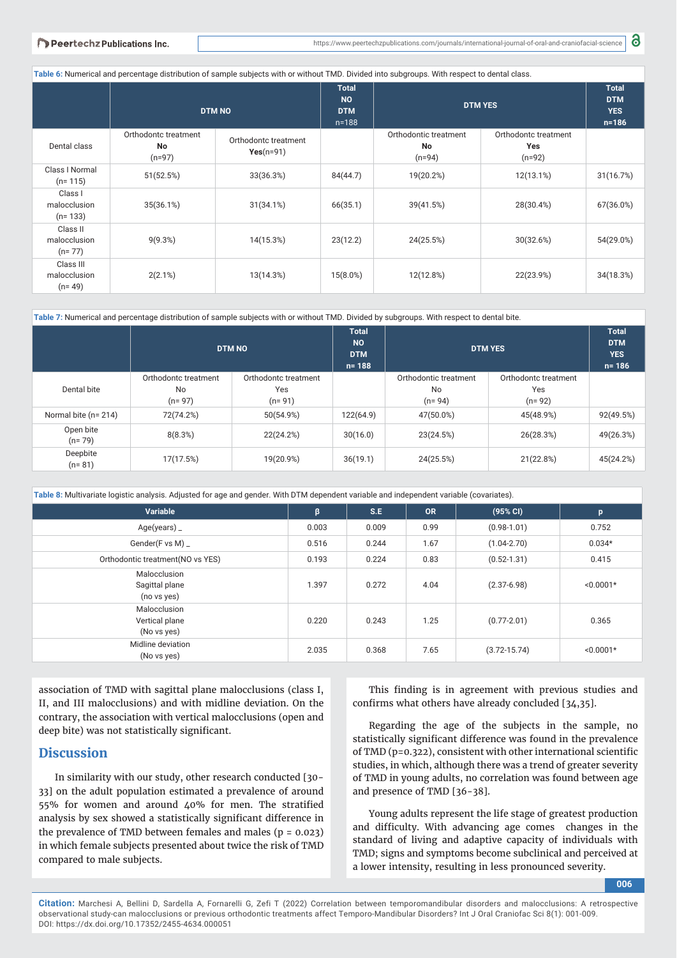|  |  |  |  |  | Peertechz Publications Inc |  |
|--|--|--|--|--|----------------------------|--|
|--|--|--|--|--|----------------------------|--|

**Table 6:** Numerical and percentage distribution of sample subjects with or without TMD. Divided into subgroups. With respect to dental class.

|                                       | <b>DTM NO</b>                          |                                     | <b>Total</b><br><b>NO</b><br><b>DTM</b><br>$n = 188$ | <b>DTM YES</b>                          | <b>Total</b><br><b>DTM</b><br><b>YES</b><br>$n = 186$ |           |
|---------------------------------------|----------------------------------------|-------------------------------------|------------------------------------------------------|-----------------------------------------|-------------------------------------------------------|-----------|
| Dental class                          | Orthodontc treatment<br>No<br>$(n=97)$ | Orthodontc treatment<br>$Yes(n=91)$ |                                                      | Orthodontic treatment<br>No<br>$(n=94)$ | Orthodontc treatment<br>Yes<br>$(n=92)$               |           |
| Class I Normal<br>$(n=115)$           | 51(52.5%)                              | 33(36.3%)                           | 84(44.7)                                             | 19(20.2%)                               | 12(13.1%)                                             | 31(16.7%) |
| Class I<br>malocclusion<br>$(n=133)$  | 35(36.1%)                              | 31(34.1%)                           | 66(35.1)                                             | 39(41.5%)                               | 28(30.4%)                                             | 67(36.0%) |
| Class II<br>malocclusion<br>$(n=77)$  | 9(9.3%)                                | 14(15.3%)                           | 23(12.2)                                             | 24(25.5%)                               | 30(32.6%)                                             | 54(29.0%) |
| Class III<br>malocclusion<br>$(n=49)$ | 2(2.1%)                                | 13(14.3%)                           | $15(8.0\%)$                                          | 12(12.8%)                               | 22(23.9%)                                             | 34(18.3%) |

**Table 7:** Numerical and percentage distribution of sample subjects with or without TMD. Divided by subgroups. With respect to dental bite.

|                       | <b>DTM NO</b>                          |                                           | <b>Total</b><br><b>NO</b><br><b>DTM</b><br>$n = 188$ | <b>DTM YES</b>                            |                                           | <b>Total</b><br><b>DTM</b><br><b>YES</b><br>$n = 186$ |
|-----------------------|----------------------------------------|-------------------------------------------|------------------------------------------------------|-------------------------------------------|-------------------------------------------|-------------------------------------------------------|
| Dental bite           | Orthodontc treatment<br>No<br>$(n=97)$ | Orthodontc treatment<br>Yes<br>$(n = 91)$ |                                                      | Orthodontic treatment<br>No<br>$(n = 94)$ | Orthodontc treatment<br>Yes<br>$(n = 92)$ |                                                       |
| Normal bite (n= 214)  | 72(74.2%)                              | 50(54.9%)                                 | 122(64.9)                                            | 47(50.0%)                                 | 45(48.9%)                                 | 92(49.5%)                                             |
| Open bite<br>$(n=79)$ | 8(8.3%)                                | 22(24.2%)                                 | 30(16.0)                                             | 23(24.5%)                                 | 26(28.3%)                                 | 49(26.3%)                                             |
| Deepbite<br>$(n=81)$  | 17(17.5%)                              | 19(20.9%)                                 | 36(19.1)                                             | 24(25.5%)                                 | 21(22.8%)                                 | 45(24.2%)                                             |

**Table 8:** Multivariate logistic analysis. Adjusted for age and gender. With DTM dependent variable and independent variable (covariates).

| Variable                                      | β     | S.E   | <b>OR</b> | (95% CI)         | p           |
|-----------------------------------------------|-------|-------|-----------|------------------|-------------|
| Age(years)                                    | 0.003 | 0.009 | 0.99      | $(0.98 - 1.01)$  | 0.752       |
| Gender(F vs M) _                              | 0.516 | 0.244 | 1.67      | $(1.04 - 2.70)$  | $0.034*$    |
| Orthodontic treatment (NO vs YES)             | 0.193 | 0.224 | 0.83      | $(0.52 - 1.31)$  | 0.415       |
| Malocclusion<br>Sagittal plane<br>(no vs yes) | 1.397 | 0.272 | 4.04      | $(2.37 - 6.98)$  | $< 0.0001*$ |
| Malocclusion<br>Vertical plane<br>(No vs yes) | 0.220 | 0.243 | 1.25      | $(0.77 - 2.01)$  | 0.365       |
| Midline deviation<br>(No vs yes)              | 2.035 | 0.368 | 7.65      | $(3.72 - 15.74)$ | $< 0.0001*$ |

association of TMD with sagittal plane malocclusions (class I, II, and III malocclusions) and with midline deviation. On the contrary, the association with vertical malocclusions (open and deep bite) was not statistically significant.

## **Discussion**

In similarity with our study, other research conducted [30- 33] on the adult population estimated a prevalence of around 55% for women and around  $\mu$ 0% for men. The stratified analysis by sex showed a statistically significant difference in the prevalence of TMD between females and males ( $p = 0.023$ ) in which female subjects presented about twice the risk of TMD compared to male subjects.

This finding is in agreement with previous studies and confirms what others have already concluded [34,35].

Regarding the age of the subjects in the sample, no statistically significant difference was found in the prevalence of TMD (p=0.322), consistent with other international scientific studies, in which, although there was a trend of greater severity of TMD in young adults, no correlation was found between age and presence of TMD [36-38].

Young adults represent the life stage of greatest production and difficulty. With advancing age comes changes in the standard of living and adaptive capacity of individuals with TMD; signs and symptoms become subclinical and perceived at a lower intensity, resulting in less pronounced severity.

**006**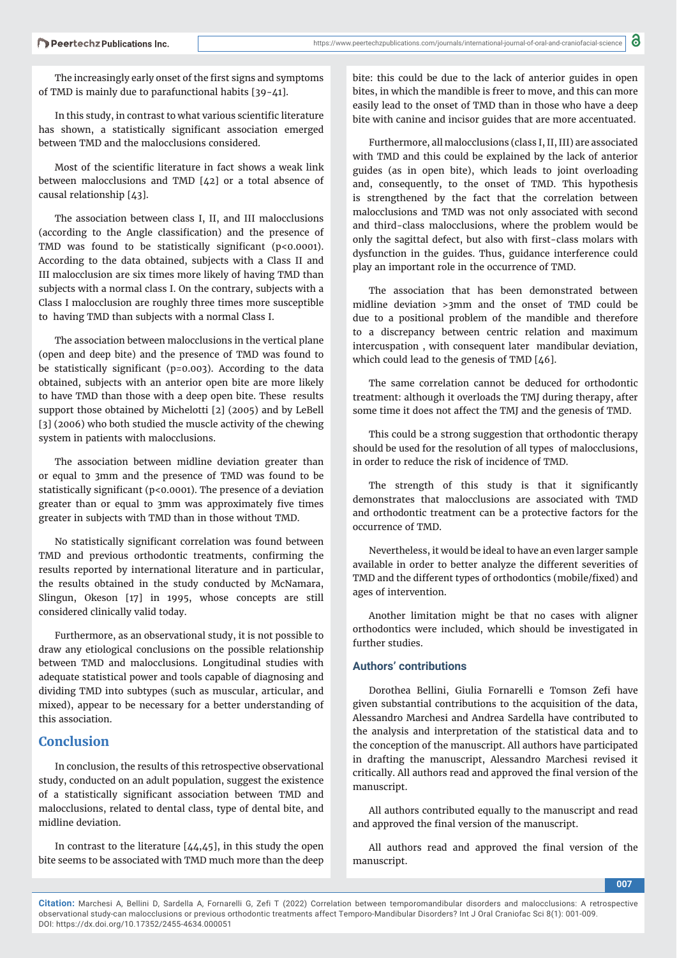The increasingly early onset of the first signs and symptoms of TMD is mainly due to parafunctional habits [39-41].

In this study, in contrast to what various scientific literature has shown, a statistically significant association emerged between TMD and the malocclusions considered.

Most of the scientific literature in fact shows a weak link between malocclusions and TMD [42] or a total absence of causal relationship [43].

The association between class I, II, and III malocclusions (according to the Angle classification) and the presence of TMD was found to be statistically significant ( $p$ <0.0001). According to the data obtained, subjects with a Class II and III malocclusion are six times more likely of having TMD than subjects with a normal class I. On the contrary, subjects with a Class I malocclusion are roughly three times more susceptible to having TMD than subjects with a normal Class I.

The association between malocclusions in the vertical plane (open and deep bite) and the presence of TMD was found to be statistically significant ( $p=0.003$ ). According to the data obtained, subjects with an anterior open bite are more likely to have TMD than those with a deep open bite. These results support those obtained by Michelotti [2] (2005) and by LeBell [3] (2006) who both studied the muscle activity of the chewing system in patients with malocclusions.

The association between midline deviation greater than or equal to 3mm and the presence of TMD was found to be statistically significant ( $p$ <0.0001). The presence of a deviation greater than or equal to 3mm was approximately five times greater in subjects with TMD than in those without TMD.

No statistically significant correlation was found between TMD and previous orthodontic treatments, confirming the results reported by international literature and in particular, the results obtained in the study conducted by McNamara, Slingun, Okeson [17] in 1995, whose concepts are still considered clinically valid today.

Furthermore, as an observational study, it is not possible to draw any etiological conclusions on the possible relationship between TMD and malocclusions. Longitudinal studies with adequate statistical power and tools capable of diagnosing and dividing TMD into subtypes (such as muscular, articular, and mixed), appear to be necessary for a better understanding of this association.

# **Conclusion**

In conclusion, the results of this retrospective observational study, conducted on an adult population, suggest the existence of a statistically significant association between TMD and malocclusions, related to dental class, type of dental bite, and midline deviation.

In contrast to the literature  $[44, 45]$ , in this study the open bite seems to be associated with TMD much more than the deep

bite: this could be due to the lack of anterior guides in open bites, in which the mandible is freer to move, and this can more easily lead to the onset of TMD than in those who have a deep bite with canine and incisor guides that are more accentuated.

Furthermore, all malocclusions (class I, II, III) are associated with TMD and this could be explained by the lack of anterior guides (as in open bite), which leads to joint overloading and, consequently, to the onset of TMD. This hypothesis is strengthened by the fact that the correlation between malocclusions and TMD was not only associated with second and third-class malocclusions, where the problem would be only the sagittal defect, but also with first-class molars with dysfunction in the guides. Thus, guidance interference could play an important role in the occurrence of TMD.

The association that has been demonstrated between midline deviation >3mm and the onset of TMD could be due to a positional problem of the mandible and therefore to a discrepancy between centric relation and maximum intercuspation , with consequent later mandibular deviation, which could lead to the genesis of TMD [46].

The same correlation cannot be deduced for orthodontic treatment: although it overloads the TMJ during therapy, after some time it does not affect the TMJ and the genesis of TMD.

This could be a strong suggestion that orthodontic therapy should be used for the resolution of all types of malocclusions, in order to reduce the risk of incidence of TMD.

The strength of this study is that it significantly demonstrates that malocclusions are associated with TMD and orthodontic treatment can be a protective factors for the occurrence of TMD.

Nevertheless, it would be ideal to have an even larger sample available in order to better analyze the different severities of TMD and the different types of orthodontics (mobile/fixed) and ages of intervention.

Another limitation might be that no cases with aligner orthodontics were included, which should be investigated in further studies.

## **Authors' contributions**

Dorothea Bellini, Giulia Fornarelli e Tomson Zefi have given substantial contributions to the acquisition of the data, Alessandro Marchesi and Andrea Sardella have contributed to the analysis and interpretation of the statistical data and to the conception of the manuscript. All authors have participated in drafting the manuscript, Alessandro Marchesi revised it critically. All authors read and approved the final version of the manuscript.

All authors contributed equally to the manuscript and read and approved the final version of the manuscript.

All authors read and approved the final version of the manuscript.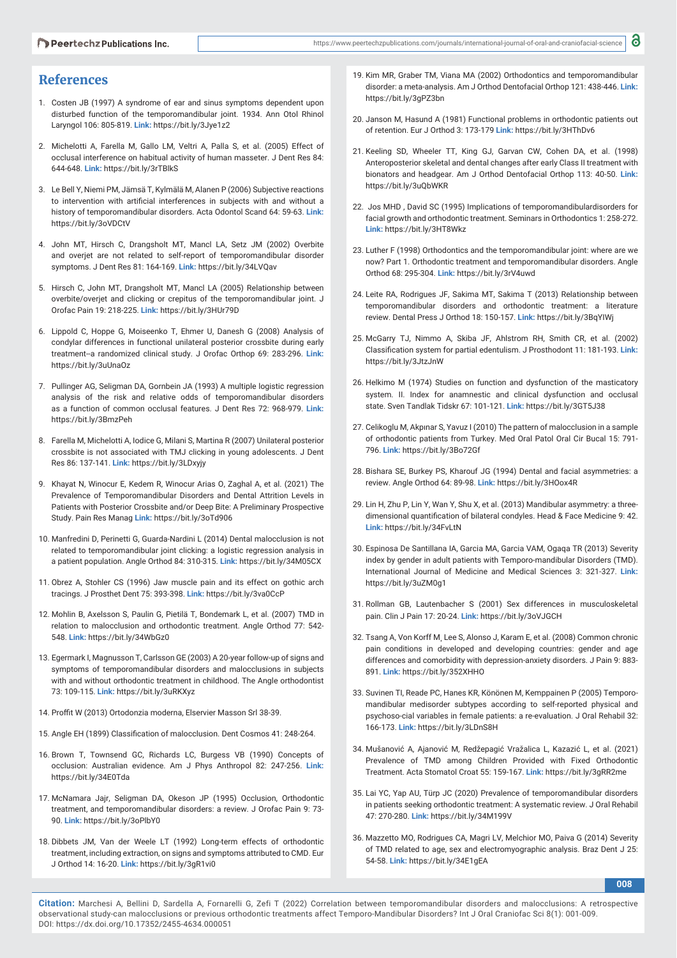# **References**

- 1. Costen JB (1997) A syndrome of ear and sinus symptoms dependent upon disturbed function of the temporomandibular joint. 1934. Ann Otol Rhinol Laryngol 106: 805-819. **Link:** https://bit.ly/3Jye1z2
- 2. Michelotti A, Farella M, Gallo LM, Veltri A, Palla S, et al. (2005) Effect of occlusal interference on habitual activity of human masseter. J Dent Res 84: 644-648. **Link:** https://bit.ly/3rTBlkS
- 3. Le Bell Y, Niemi PM, Jämsä T, Kylmälä M, Alanen P (2006) Subjective reactions to intervention with artificial interferences in subjects with and without a history of temporomandibular disorders. Acta Odontol Scand 64: 59-63. **Link:** https://bit.ly/3oVDCtV
- 4. John MT, Hirsch C, Drangsholt MT, Mancl LA, Setz JM (2002) Overbite and overjet are not related to self-report of temporomandibular disorder symptoms. J Dent Res 81: 164-169. **Link:** https://bit.ly/34LVQav
- 5. Hirsch C, John MT, Drangsholt MT, Mancl LA (2005) Relationship between overbite/overjet and clicking or crepitus of the temporomandibular joint. J Orofac Pain 19: 218-225. **Link:** https://bit.ly/3HUr79D
- 6. Lippold C, Hoppe G, Moiseenko T, Ehmer U, Danesh G (2008) Analysis of condylar differences in functional unilateral posterior crossbite during early treatment--a randomized clinical study. J Orofac Orthop 69: 283-296. **Link:** https://bit.ly/3uUnaOz
- 7. Pullinger AG, Seligman DA, Gornbein JA (1993) A multiple logistic regression analysis of the risk and relative odds of temporomandibular disorders as a function of common occlusal features. J Dent Res 72: 968-979. **Link:** https://bit.ly/3BmzPeh
- 8. Farella M, Michelotti A, Iodice G, Milani S, Martina R (2007) Unilateral posterior crossbite is not associated with TMJ clicking in young adolescents. J Dent Res 86: 137-141. **Link:** https://bit.ly/3LDxyjy
- 9. Khayat N, Winocur E, Kedem R, Winocur Arias O, Zaghal A, et al. (2021) The Prevalence of Temporomandibular Disorders and Dental Attrition Levels in Patients with Posterior Crossbite and/or Deep Bite: A Preliminary Prospective Study. Pain Res Manag **Link:** https://bit.ly/3oTd906
- 10. Manfredini D, Perinetti G, Guarda-Nardini L (2014) Dental malocclusion is not related to temporomandibular joint clicking: a logistic regression analysis in a patient population. Angle Orthod 84: 310-315. **Link:** https://bit.ly/34M05CX
- 11. Obrez A, Stohler CS (1996) Jaw muscle pain and its effect on gothic arch tracings. J Prosthet Dent 75: 393-398. **Link:** https://bit.ly/3va0CcP
- 12. Mohlin B, Axelsson S, Paulin G, Pietilä T, Bondemark L, et al. (2007) TMD in relation to malocclusion and orthodontic treatment. Angle Orthod 77: 542- 548. **Link:** https://bit.ly/34WbGz0
- 13. Egermark I, Magnusson T, Carlsson GE (2003) A 20-year follow-up of signs and symptoms of temporomandibular disorders and malocclusions in subjects with and without orthodontic treatment in childhood. The Angle orthodontist 73: 109-115. **Link:** https://bit.ly/3uRKXyz
- 14. Proffit W (2013) Ortodonzia moderna, Elservier Masson Srl 38-39.
- 15. Angle EH (1899) Classification of malocclusion. Dent Cosmos 41: 248-264.
- 16. Brown T, Townsend GC, Richards LC, Burgess VB (1990) Concepts of occlusion: Australian evidence. Am J Phys Anthropol 82: 247-256. **Link:** https://bit.ly/34E0Tda
- 17. McNamara Jajr, Seligman DA, Okeson JP (1995) Occlusion, Orthodontic treatment, and temporomandibular disorders: a review. J Orofac Pain 9: 73- 90. **Link:** https://bit.ly/3oPlbY0
- 18. Dibbets JM, Van der Weele LT (1992) Long-term effects of orthodontic treatment, including extraction, on signs and symptoms attributed to CMD. Eur J Orthod 14: 16-20. **Link:** https://bit.ly/3gR1vi0
- 19. Kim MR, Graber TM, Viana MA (2002) Orthodontics and temporomandibular disorder: a meta-analysis. Am J Orthod Dentofacial Orthop 121: 438-446. **Link:** https://bit.ly/3gPZ3bn
- 20. Janson M, Hasund A (1981) Functional problems in orthodontic patients out of retention. Eur J Orthod 3: 173-179 **Link:** https://bit.ly/3HThDv6
- 21. Keeling SD, Wheeler TT, King GJ, Garvan CW, Cohen DA, et al. (1998) Anteroposterior skeletal and dental changes after early Class II treatment with bionators and headgear. Am J Orthod Dentofacial Orthop 113: 40-50. **Link:** https://bit.ly/3uQbWKR
- 22. Jos MHD , David SC (1995) Implications of temporomandibulardisorders for facial growth and orthodontic treatment. Seminars in Orthodontics 1: 258-272. **Link:** https://bit.ly/3HT8Wkz
- 23. Luther F (1998) Orthodontics and the temporomandibular joint: where are we now? Part 1. Orthodontic treatment and temporomandibular disorders. Angle Orthod 68: 295-304. **Link:** https://bit.ly/3rV4uwd
- 24. Leite RA, Rodrigues JF, Sakima MT, Sakima T (2013) Relationship between temporomandibular disorders and orthodontic treatment: a literature review. Dental Press J Orthod 18: 150-157. **Link:** https://bit.ly/3BqYIWj
- 25. McGarry TJ, Nimmo A, Skiba JF, Ahlstrom RH, Smith CR, et al. (2002) Classification system for partial edentulism. J Prosthodont 11: 181-193. Link: https://bit.ly/3JtzJnW
- 26. Helkimo M (1974) Studies on function and dysfunction of the masticatory system. II. Index for anamnestic and clinical dysfunction and occlusal state. Sven Tandlak Tidskr 67: 101-121. **Link:** https://bit.ly/3GT5J38
- 27. Celikoglu M, Akpınar S, Yavuz I (2010) The pattern of malocclusion in a sample of orthodontic patients from Turkey. Med Oral Patol Oral Cir Bucal 15: 791- 796. **Link:** https://bit.ly/3Bo72Gf
- 28. Bishara SE, Burkey PS, Kharouf JG (1994) Dental and facial asymmetries: a review. Angle Orthod 64: 89-98. **Link:** https://bit.ly/3HOox4R
- 29. Lin H, Zhu P, Lin Y, Wan Y, Shu X, et al. (2013) Mandibular asymmetry: a threedimensional quantification of bilateral condyles. Head & Face Medicine 9: 42. **Link:** https://bit.ly/34FvLtN
- 30. Espinosa De Santillana IA, Garcia MA, Garcia VAM, Ogaqa TR (2013) Severity index by gender in adult patients with Temporo-mandibular Disorders (TMD). International Journal of Medicine and Medical Sciences 3: 321-327. **Link:** https://bit.ly/3uZM0g1
- 31. Rollman GB, Lautenbacher S (2001) Sex differences in musculoskeletal pain. Clin J Pain 17: 20-24. **Link:** https://bit.ly/3oVJGCH
- 32. Tsang A, Von Korff M¸ Lee S, Alonso J, Karam E, et al. (2008) Common chronic pain conditions in developed and developing countries: gender and age differences and comorbidity with depression-anxiety disorders. J Pain 9: 883- 891. **Link:** https://bit.ly/352XHHO
- 33. Suvinen TI, Reade PC, Hanes KR, Könönen M, Kemppainen P (2005) Temporomandibular medisorder subtypes according to self-reported physical and psychoso-cial variables in female patients: a re-evaluation. J Oral Rehabil 32: 166-173. **Link:** https://bit.ly/3LDnS8H
- 34. Mušanović A, Ajanović M, Redžepagić Vražalica L, Kazazić L, et al. (2021) Prevalence of TMD among Children Provided with Fixed Orthodontic Treatment. Acta Stomatol Croat 55: 159-167. **Link:** https://bit.ly/3gRR2me
- 35. Lai YC, Yap AU, Türp JC (2020) Prevalence of temporomandibular disorders in patients seeking orthodontic treatment: A systematic review. J Oral Rehabil 47: 270-280. **Link:** https://bit.ly/34M199V
- 36. Mazzetto MO, Rodrigues CA, Magri LV, Melchior MO, Paiva G (2014) Severity of TMD related to age, sex and electromyographic analysis. Braz Dent J 25: 54-58. **Link:** https://bit.ly/34E1gEA

**008**